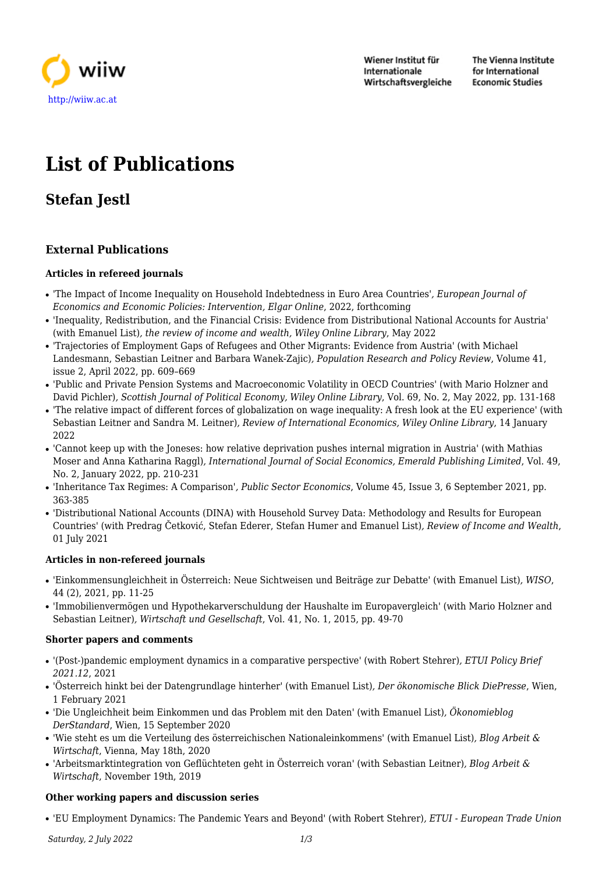

Wiener Institut für Internationale Wirtschaftsvergleiche The Vienna Institute for International **Economic Studies** 

# **List of Publications**

## **Stefan Jestl**

## **External Publications**

## **Articles in refereed journals**

- 'The Impact of Income Inequality on Household Indebtedness in Euro Area Countries'*, European Journal of Economics and Economic Policies: Intervention, Elgar Online*, 2022, forthcoming
- 'Inequality, Redistribution, and the Financial Crisis: Evidence from Distributional National Accounts for Austria' (with Emanuel List)*, the review of income and wealth, Wiley Online Library*, May 2022
- 'Trajectories of Employment Gaps of Refugees and Other Migrants: Evidence from Austria' (with Michael Landesmann, Sebastian Leitner and Barbara Wanek-Zajic)*, Population Research and Policy Review*, Volume 41, issue 2, April 2022, pp. 609–669
- 'Public and Private Pension Systems and Macroeconomic Volatility in OECD Countries' (with Mario Holzner and David Pichler)*, Scottish Journal of Political Economy, Wiley Online Library*, Vol. 69, No. 2, May 2022, pp. 131-168
- 'The relative impact of different forces of globalization on wage inequality: A fresh look at the EU experience' (with Sebastian Leitner and Sandra M. Leitner)*, Review of International Economics, Wiley Online Library*, 14 January 2022
- 'Cannot keep up with the Joneses: how relative deprivation pushes internal migration in Austria' (with Mathias Moser and Anna Katharina Raggl)*, International Journal of Social Economics, Emerald Publishing Limited*, Vol. 49, No. 2, January 2022, pp. 210-231
- 'Inheritance Tax Regimes: A Comparison'*, Public Sector Economics*, Volume 45, Issue 3, 6 September 2021, pp. 363-385
- 'Distributional National Accounts (DINA) with Household Survey Data: Methodology and Results for European Countries' (with Predrag Četković, Stefan Ederer, Stefan Humer and Emanuel List)*, Review of Income and Wealth*, 01 July 2021

## **Articles in non-refereed journals**

- 'Einkommensungleichheit in Österreich: Neue Sichtweisen und Beiträge zur Debatte' (with Emanuel List)*, WISO*, 44 (2), 2021, pp. 11-25
- 'Immobilienvermögen und Hypothekarverschuldung der Haushalte im Europavergleich' (with Mario Holzner and Sebastian Leitner)*, Wirtschaft und Gesellschaft*, Vol. 41, No. 1, 2015, pp. 49-70

## **Shorter papers and comments**

- '(Post-)pandemic employment dynamics in a comparative perspective' (with Robert Stehrer)*, ETUI Policy Brief 2021.12*, 2021
- 'Österreich hinkt bei der Datengrundlage hinterher' (with Emanuel List)*, Der ökonomische Blick DiePresse*, Wien, 1 February 2021
- 'Die Ungleichheit beim Einkommen und das Problem mit den Daten' (with Emanuel List)*, Ökonomieblog DerStandard*, Wien, 15 September 2020
- 'Wie steht es um die Verteilung des österreichischen Nationaleinkommens' (with Emanuel List)*, Blog Arbeit & Wirtschaft*, Vienna, May 18th, 2020
- 'Arbeitsmarktintegration von Geflüchteten geht in Österreich voran' (with Sebastian Leitner)*, Blog Arbeit & Wirtschaft*, November 19th, 2019

## **Other working papers and discussion series**

● 'EU Employment Dynamics: The Pandemic Years and Beyond' (with Robert Stehrer)*, ETUI - European Trade Union*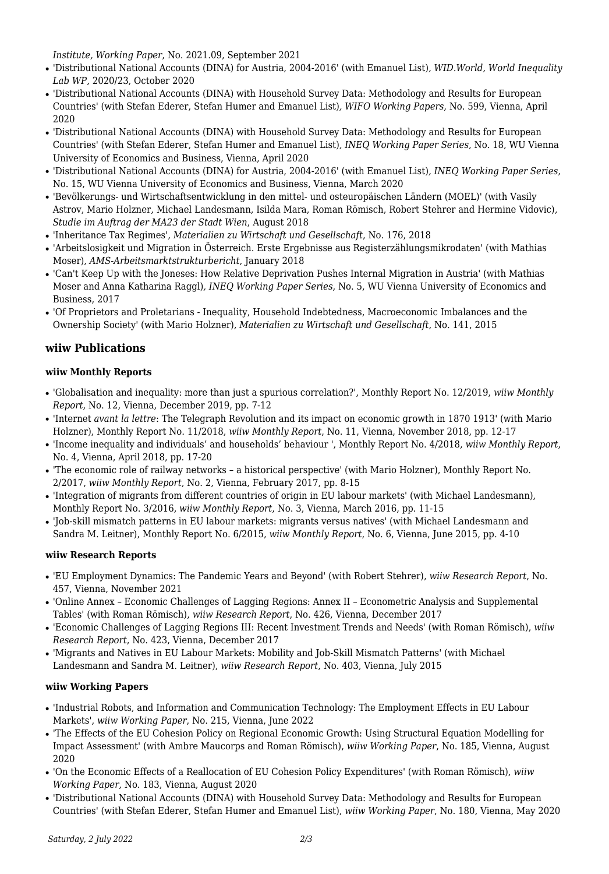*Institute, Working Paper*, No. 2021.09, September 2021

- 'Distributional National Accounts (DINA) for Austria, 2004-2016' (with Emanuel List)*, WID.World, World Inequality Lab WP*, 2020/23, October 2020
- 'Distributional National Accounts (DINA) with Household Survey Data: Methodology and Results for European Countries' (with Stefan Ederer, Stefan Humer and Emanuel List)*, WIFO Working Papers*, No. 599, Vienna, April 2020
- 'Distributional National Accounts (DINA) with Household Survey Data: Methodology and Results for European Countries' (with Stefan Ederer, Stefan Humer and Emanuel List)*, INEQ Working Paper Series*, No. 18, WU Vienna University of Economics and Business, Vienna, April 2020
- 'Distributional National Accounts (DINA) for Austria, 2004-2016' (with Emanuel List)*, INEQ Working Paper Series*, No. 15, WU Vienna University of Economics and Business, Vienna, March 2020
- 'Bevölkerungs- und Wirtschaftsentwicklung in den mittel- und osteuropäischen Ländern (MOEL)' (with Vasily Astrov, Mario Holzner, Michael Landesmann, Isilda Mara, Roman Römisch, Robert Stehrer and Hermine Vidovic)*, Studie im Auftrag der MA23 der Stadt Wien*, August 2018
- 'Inheritance Tax Regimes'*, Materialien zu Wirtschaft und Gesellschaft*, No. 176, 2018
- 'Arbeitslosigkeit und Migration in Österreich. Erste Ergebnisse aus Registerzählungsmikrodaten' (with Mathias Moser)*, AMS-Arbeitsmarktstrukturbericht*, January 2018
- 'Can't Keep Up with the Joneses: How Relative Deprivation Pushes Internal Migration in Austria' (with Mathias Moser and Anna Katharina Raggl)*, INEQ Working Paper Series*, No. 5, WU Vienna University of Economics and Business, 2017
- 'Of Proprietors and Proletarians Inequality, Household Indebtedness, Macroeconomic Imbalances and the Ownership Society' (with Mario Holzner)*, Materialien zu Wirtschaft und Gesellschaft*, No. 141, 2015

## **wiiw Publications**

## **wiiw Monthly Reports**

- 'Globalisation and inequality: more than just a spurious correlation?', Monthly Report No. 12/2019, *wiiw Monthly Report*, No. 12, Vienna, December 2019, pp. 7-12
- 'Internet *avant la lettre*: The Telegraph Revolution and its impact on economic growth in 1870 1913' (with Mario Holzner), Monthly Report No. 11/2018, *wiiw Monthly Report*, No. 11, Vienna, November 2018, pp. 12-17
- 'Income inequality and individuals' and households' behaviour ', Monthly Report No. 4/2018, *wiiw Monthly Report*, No. 4, Vienna, April 2018, pp. 17-20
- 'The economic role of railway networks a historical perspective' (with Mario Holzner), Monthly Report No. 2/2017, *wiiw Monthly Report*, No. 2, Vienna, February 2017, pp. 8-15
- 'Integration of migrants from different countries of origin in EU labour markets' (with Michael Landesmann), Monthly Report No. 3/2016, *wiiw Monthly Report*, No. 3, Vienna, March 2016, pp. 11-15
- 'Job-skill mismatch patterns in EU labour markets: migrants versus natives' (with Michael Landesmann and Sandra M. Leitner), Monthly Report No. 6/2015, *wiiw Monthly Report*, No. 6, Vienna, June 2015, pp. 4-10

## **wiiw Research Reports**

- 'EU Employment Dynamics: The Pandemic Years and Beyond' (with Robert Stehrer), *wiiw Research Report*, No. 457, Vienna, November 2021
- 'Online Annex Economic Challenges of Lagging Regions: Annex II Econometric Analysis and Supplemental Tables' (with Roman Römisch), *wiiw Research Report*, No. 426, Vienna, December 2017
- 'Economic Challenges of Lagging Regions III: Recent Investment Trends and Needs' (with Roman Römisch), *wiiw Research Report*, No. 423, Vienna, December 2017
- 'Migrants and Natives in EU Labour Markets: Mobility and Job-Skill Mismatch Patterns' (with Michael Landesmann and Sandra M. Leitner), *wiiw Research Report*, No. 403, Vienna, July 2015

## **wiiw Working Papers**

- 'Industrial Robots, and Information and Communication Technology: The Employment Effects in EU Labour Markets', *wiiw Working Paper*, No. 215, Vienna, June 2022
- 'The Effects of the EU Cohesion Policy on Regional Economic Growth: Using Structural Equation Modelling for Impact Assessment' (with Ambre Maucorps and Roman Römisch), *wiiw Working Paper*, No. 185, Vienna, August 2020
- 'On the Economic Effects of a Reallocation of EU Cohesion Policy Expenditures' (with Roman Römisch), *wiiw Working Paper*, No. 183, Vienna, August 2020
- 'Distributional National Accounts (DINA) with Household Survey Data: Methodology and Results for European Countries' (with Stefan Ederer, Stefan Humer and Emanuel List), *wiiw Working Paper*, No. 180, Vienna, May 2020